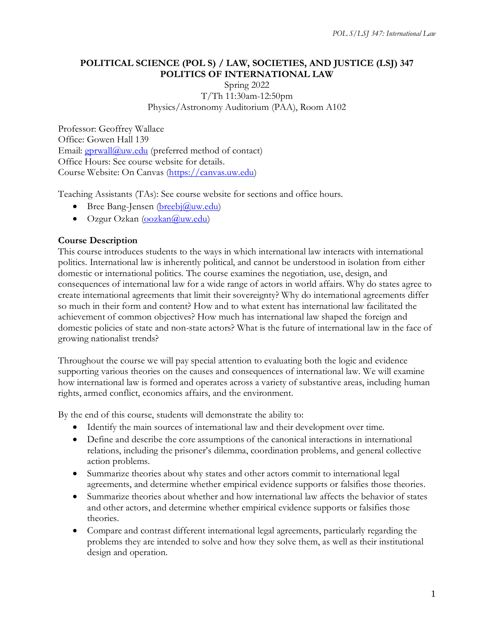#### **POLITICAL SCIENCE (POL S) / LAW, SOCIETIES, AND JUSTICE (LSJ) 347 POLITICS OF INTERNATIONAL LAW**

Spring 2022 T/Th 11:30am-12:50pm Physics/Astronomy Auditorium (PAA), Room A102

Professor: Geoffrey Wallace Office: Gowen Hall 139 Email:  $gprwall@uw.edu$  (preferred method of contact) Office Hours: See course website for details. Course Website: On Canvas [\(https://canvas.uw.edu\)](https://canvas.uw.edu/)

Teaching Assistants (TAs): See course website for sections and office hours.

- Bree Bang-Jensen  $(breebi@uw.edu)$
- Ozgur Ozkan [\(oozkan@uw.edu\)](mailto:oozkan@uw.edu)

### **Course Description**

This course introduces students to the ways in which international law interacts with international politics. International law is inherently political, and cannot be understood in isolation from either domestic or international politics. The course examines the negotiation, use, design, and consequences of international law for a wide range of actors in world affairs. Why do states agree to create international agreements that limit their sovereignty? Why do international agreements differ so much in their form and content? How and to what extent has international law facilitated the achievement of common objectives? How much has international law shaped the foreign and domestic policies of state and non-state actors? What is the future of international law in the face of growing nationalist trends?

Throughout the course we will pay special attention to evaluating both the logic and evidence supporting various theories on the causes and consequences of international law. We will examine how international law is formed and operates across a variety of substantive areas, including human rights, armed conflict, economics affairs, and the environment.

By the end of this course, students will demonstrate the ability to:

- Identify the main sources of international law and their development over time.
- Define and describe the core assumptions of the canonical interactions in international relations, including the prisoner's dilemma, coordination problems, and general collective action problems.
- Summarize theories about why states and other actors commit to international legal agreements, and determine whether empirical evidence supports or falsifies those theories.
- Summarize theories about whether and how international law affects the behavior of states and other actors, and determine whether empirical evidence supports or falsifies those theories.
- Compare and contrast different international legal agreements, particularly regarding the problems they are intended to solve and how they solve them, as well as their institutional design and operation.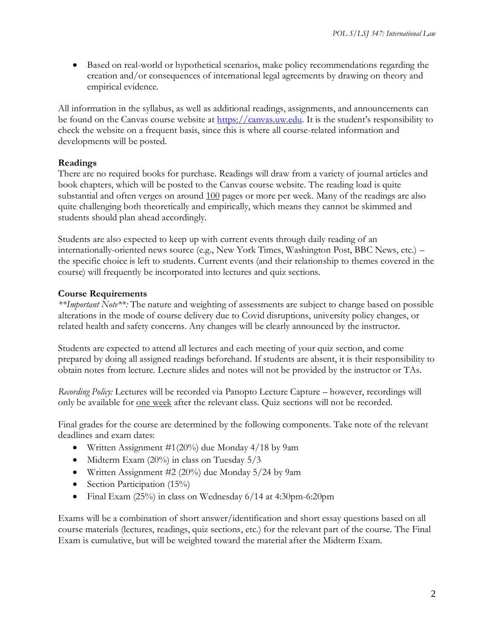• Based on real-world or hypothetical scenarios, make policy recommendations regarding the creation and/or consequences of international legal agreements by drawing on theory and empirical evidence.

All information in the syllabus, as well as additional readings, assignments, and announcements can be found on the Canvas course website at [https://canvas.uw.edu](https://canvas.uw.edu/). It is the student's responsibility to check the website on a frequent basis, since this is where all course-related information and developments will be posted.

#### **Readings**

There are no required books for purchase. Readings will draw from a variety of journal articles and book chapters, which will be posted to the Canvas course website. The reading load is quite substantial and often verges on around 100 pages or more per week. Many of the readings are also quite challenging both theoretically and empirically, which means they cannot be skimmed and students should plan ahead accordingly.

Students are also expected to keep up with current events through daily reading of an internationally-oriented news source (e.g., New York Times, Washington Post, BBC News, etc.) – the specific choice is left to students. Current events (and their relationship to themes covered in the course) will frequently be incorporated into lectures and quiz sections.

#### **Course Requirements**

*\*\*Important Note\*\*:* The nature and weighting of assessments are subject to change based on possible alterations in the mode of course delivery due to Covid disruptions, university policy changes, or related health and safety concerns. Any changes will be clearly announced by the instructor.

Students are expected to attend all lectures and each meeting of your quiz section, and come prepared by doing all assigned readings beforehand. If students are absent, it is their responsibility to obtain notes from lecture. Lecture slides and notes will not be provided by the instructor or TAs.

*Recording Policy:* Lectures will be recorded via Panopto Lecture Capture – however, recordings will only be available for one week after the relevant class. Quiz sections will not be recorded.

Final grades for the course are determined by the following components. Take note of the relevant deadlines and exam dates:

- Written Assignment #1(20%) due Monday 4/18 by 9am
- Midterm Exam (20%) in class on Tuesday 5/3
- Written Assignment #2 (20%) due Monday 5/24 by 9am
- Section Participation  $(15\%)$
- Final Exam (25%) in class on Wednesday 6/14 at 4:30pm-6:20pm

Exams will be a combination of short answer/identification and short essay questions based on all course materials (lectures, readings, quiz sections, etc.) for the relevant part of the course. The Final Exam is cumulative, but will be weighted toward the material after the Midterm Exam.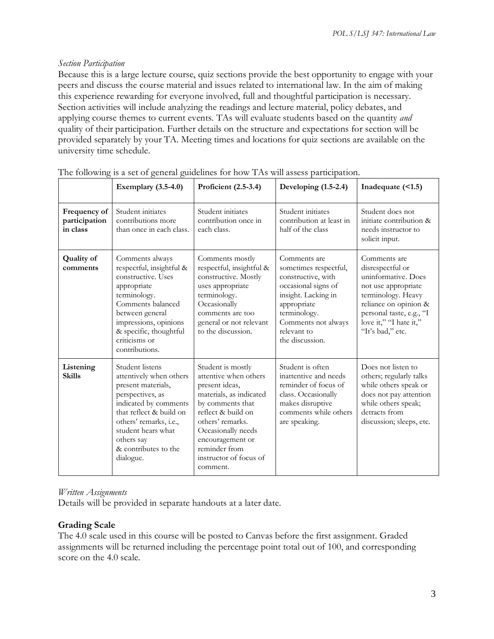#### *Section Participation*

Because this is a large lecture course, quiz sections provide the best opportunity to engage with your peers and discuss the course material and issues related to international law. In the aim of making this experience rewarding for everyone involved, full and thoughtful participation is necessary. Section activities will include analyzing the readings and lecture material, policy debates, and applying course themes to current events. TAs will evaluate students based on the quantity *and*  quality of their participation. Further details on the structure and expectations for section will be provided separately by your TA. Meeting times and locations for quiz sections are available on the university time schedule.

|                                           | <b>Exemplary</b> (3.5-4.0)                                                                                                                                                                                                                  | Proficient (2.5-3.4)                                                                                                                                                                                                                                   | Developing (1.5-2.4)                                                                                                                                                                              | Inadequate (<1.5)                                                                                                                                                                                       |
|-------------------------------------------|---------------------------------------------------------------------------------------------------------------------------------------------------------------------------------------------------------------------------------------------|--------------------------------------------------------------------------------------------------------------------------------------------------------------------------------------------------------------------------------------------------------|---------------------------------------------------------------------------------------------------------------------------------------------------------------------------------------------------|---------------------------------------------------------------------------------------------------------------------------------------------------------------------------------------------------------|
| Frequency of<br>participation<br>in class | Student initiates<br>contributions more<br>than once in each class.                                                                                                                                                                         | Student initiates<br>contribution once in<br>each class.                                                                                                                                                                                               | Student initiates<br>contribution at least in<br>half of the class                                                                                                                                | Student does not<br>initiate contribution &<br>needs instructor to<br>solicit input.                                                                                                                    |
| <b>Quality of</b><br>comments             | Comments always<br>respectful, insightful &<br>constructive. Uses<br>appropriate<br>terminology.<br>Comments balanced<br>between general<br>impressions, opinions<br>& specific, thoughtful<br>criticisms or<br>contributions.              | Comments mostly<br>respectful, insightful &<br>constructive. Mostly<br>uses appropriate<br>terminology.<br>Occasionally<br>comments are too<br>general or not relevant<br>to the discussion.                                                           | Comments are<br>sometimes respectful,<br>constructive, with<br>occasional signs of<br>insight. Lacking in<br>appropriate<br>terminology.<br>Comments not always<br>relevant to<br>the discussion. | Comments are<br>disrespectful or<br>uninformative. Does<br>not use appropriate<br>terminology. Heavy<br>reliance on opinion &<br>personal taste, e.g., "I<br>love it," "I hate it,"<br>"It's bad," etc. |
| Listening<br><b>Skills</b>                | Student listens<br>attentively when others<br>present materials,<br>perspectives, as<br>indicated by comments<br>that reflect & build on<br>others' remarks, i.e.,<br>student hears what<br>others say<br>& contributes to the<br>dialogue. | Student is mostly<br>attentive when others<br>present ideas,<br>materials, as indicated<br>by comments that<br>reflect & build on<br>others' remarks.<br>Occasionally needs<br>encouragement or<br>reminder from<br>instructor of focus of<br>comment. | Student is often<br>inattentive and needs<br>reminder of focus of<br>class. Occasionally<br>makes disruptive<br>comments while others<br>are speaking.                                            | Does not listen to<br>others; regularly talks<br>while others speak or<br>does not pay attention<br>while others speak;<br>detracts from<br>discussion; sleeps, etc.                                    |

The following is a set of general guidelines for how TAs will assess participation.

### *Written Assignments*

Details will be provided in separate handouts at a later date.

### **Grading Scale**

The 4.0 scale used in this course will be posted to Canvas before the first assignment. Graded assignments will be returned including the percentage point total out of 100, and corresponding score on the 4.0 scale.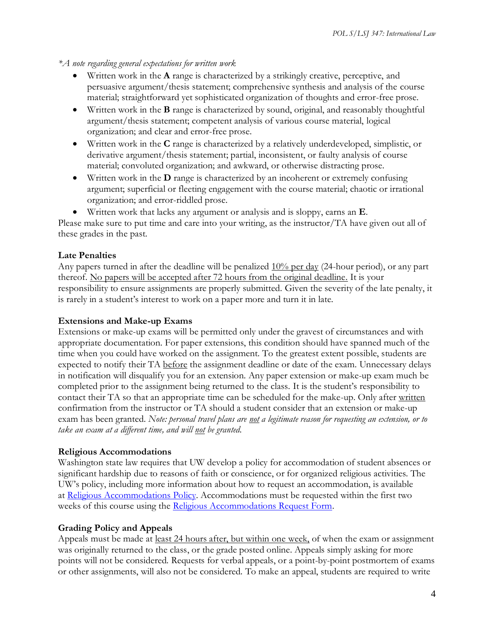*\*A note regarding general expectations for written work*

- Written work in the **A** range is characterized by a strikingly creative, perceptive, and persuasive argument/thesis statement; comprehensive synthesis and analysis of the course material; straightforward yet sophisticated organization of thoughts and error-free prose.
- Written work in the **B** range is characterized by sound, original, and reasonably thoughtful argument/thesis statement; competent analysis of various course material, logical organization; and clear and error-free prose.
- Written work in the **C** range is characterized by a relatively underdeveloped, simplistic, or derivative argument/thesis statement; partial, inconsistent, or faulty analysis of course material; convoluted organization; and awkward, or otherwise distracting prose.
- Written work in the **D** range is characterized by an incoherent or extremely confusing argument; superficial or fleeting engagement with the course material; chaotic or irrational organization; and error-riddled prose.
- Written work that lacks any argument or analysis and is sloppy, earns an **E**.

Please make sure to put time and care into your writing, as the instructor/TA have given out all of these grades in the past.

#### **Late Penalties**

Any papers turned in after the deadline will be penalized  $10\%$  per day (24-hour period), or any part thereof. No papers will be accepted after 72 hours from the original deadline. It is your responsibility to ensure assignments are properly submitted. Given the severity of the late penalty, it is rarely in a student's interest to work on a paper more and turn it in late.

#### **Extensions and Make-up Exams**

Extensions or make-up exams will be permitted only under the gravest of circumstances and with appropriate documentation. For paper extensions, this condition should have spanned much of the time when you could have worked on the assignment. To the greatest extent possible, students are expected to notify their TA before the assignment deadline or date of the exam. Unnecessary delays in notification will disqualify you for an extension. Any paper extension or make-up exam much be completed prior to the assignment being returned to the class. It is the student's responsibility to contact their TA so that an appropriate time can be scheduled for the make-up. Only after written confirmation from the instructor or TA should a student consider that an extension or make-up exam has been granted. *Note: personal travel plans are not a legitimate reason for requesting an extension, or to take an exam at a different time, and will not be granted.*

#### **Religious Accommodations**

Washington state law requires that UW develop a policy for accommodation of student absences or significant hardship due to reasons of faith or conscience, or for organized religious activities. The UW's policy, including more information about how to request an accommodation, is available at [Religious Accommodations Policy.](https://registrar.washington.edu/staffandfaculty/religious-accommodations-policy/) Accommodations must be requested within the first two weeks of this course using the [Religious Accommodations Request Form.](https://registrar.washington.edu/students/religious-accommodations-request/)

#### **Grading Policy and Appeals**

Appeals must be made at least 24 hours after, but within one week, of when the exam or assignment was originally returned to the class, or the grade posted online. Appeals simply asking for more points will not be considered. Requests for verbal appeals, or a point-by-point postmortem of exams or other assignments, will also not be considered. To make an appeal, students are required to write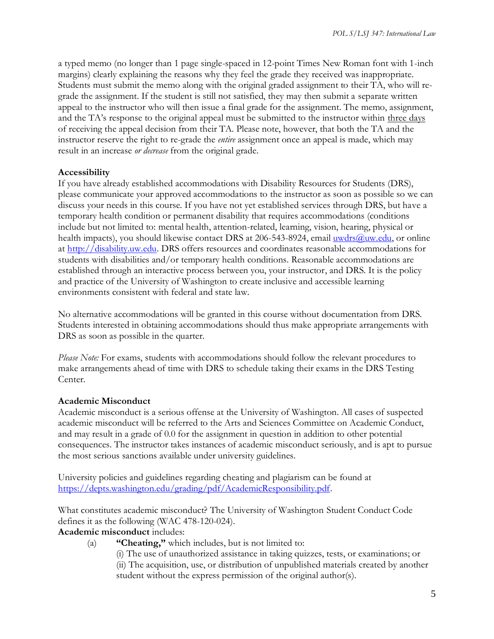a typed memo (no longer than 1 page single-spaced in 12-point Times New Roman font with 1-inch margins) clearly explaining the reasons why they feel the grade they received was inappropriate. Students must submit the memo along with the original graded assignment to their TA, who will regrade the assignment. If the student is still not satisfied, they may then submit a separate written appeal to the instructor who will then issue a final grade for the assignment. The memo, assignment, and the TA's response to the original appeal must be submitted to the instructor within three days of receiving the appeal decision from their TA. Please note, however, that both the TA and the instructor reserve the right to re-grade the *entire* assignment once an appeal is made, which may result in an increase *or decrease* from the original grade.

#### **Accessibility**

If you have already established accommodations with Disability Resources for Students (DRS), please communicate your approved accommodations to the instructor as soon as possible so we can discuss your needs in this course. If you have not yet established services through DRS, but have a temporary health condition or permanent disability that requires accommodations (conditions include but not limited to: mental health, attention-related, learning, vision, hearing, physical or health impacts), you should likewise contact DRS at 206-543-8924, email [uwdrs@uw.edu,](mailto:uwdrs@uw.edu) or online at [http://disability.uw.edu.](http://disability.uw.edu/) DRS offers resources and coordinates reasonable accommodations for students with disabilities and/or temporary health conditions. Reasonable accommodations are established through an interactive process between you, your instructor, and DRS. It is the policy and practice of the University of Washington to create inclusive and accessible learning environments consistent with federal and state law.

No alternative accommodations will be granted in this course without documentation from DRS. Students interested in obtaining accommodations should thus make appropriate arrangements with DRS as soon as possible in the quarter.

*Please Note:* For exams, students with accommodations should follow the relevant procedures to make arrangements ahead of time with DRS to schedule taking their exams in the DRS Testing Center.

#### **Academic Misconduct**

Academic misconduct is a serious offense at the University of Washington. All cases of suspected academic misconduct will be referred to the Arts and Sciences Committee on Academic Conduct, and may result in a grade of 0.0 for the assignment in question in addition to other potential consequences. The instructor takes instances of academic misconduct seriously, and is apt to pursue the most serious sanctions available under university guidelines.

University policies and guidelines regarding cheating and plagiarism can be found at [https://depts.washington.edu/grading/pdf/AcademicResponsibility.pdf.](https://depts.washington.edu/grading/pdf/AcademicResponsibility.pdf)

What constitutes academic misconduct? The University of Washington Student Conduct Code defines it as the following (WAC 478-120-024).

#### **Academic misconduct** includes:

- (a) **"Cheating,"** which includes, but is not limited to:
	- (i) The use of unauthorized assistance in taking quizzes, tests, or examinations; or (ii) The acquisition, use, or distribution of unpublished materials created by another student without the express permission of the original author(s).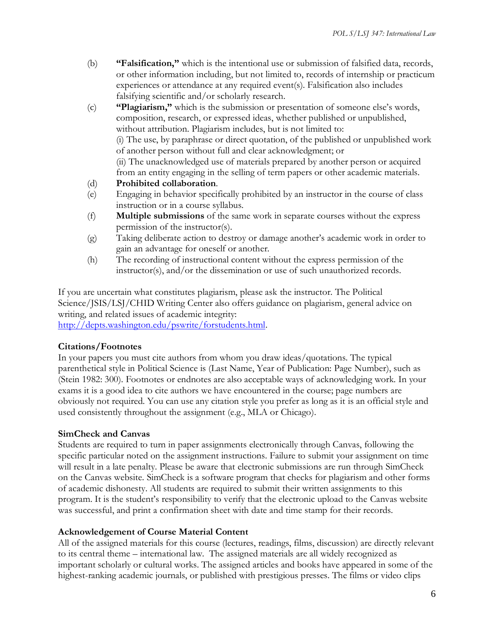- (b) **"Falsification,"** which is the intentional use or submission of falsified data, records, or other information including, but not limited to, records of internship or practicum experiences or attendance at any required event(s). Falsification also includes falsifying scientific and/or scholarly research.
- (c) **"Plagiarism,"** which is the submission or presentation of someone else's words, composition, research, or expressed ideas, whether published or unpublished, without attribution. Plagiarism includes, but is not limited to: (i) The use, by paraphrase or direct quotation, of the published or unpublished work of another person without full and clear acknowledgment; or (ii) The unacknowledged use of materials prepared by another person or acquired from an entity engaging in the selling of term papers or other academic materials. (d) **Prohibited collaboration**.
- (e) Engaging in behavior specifically prohibited by an instructor in the course of class instruction or in a course syllabus.
- (f) **Multiple submissions** of the same work in separate courses without the express permission of the instructor(s).
- (g) Taking deliberate action to destroy or damage another's academic work in order to gain an advantage for oneself or another.
- (h) The recording of instructional content without the express permission of the instructor(s), and/or the dissemination or use of such unauthorized records.

If you are uncertain what constitutes plagiarism, please ask the instructor. The Political Science/JSIS/LSJ/CHID Writing Center also offers guidance on plagiarism, general advice on writing, and related issues of academic integrity: [http://depts.washington.edu/pswrite/forstudents.html.](http://depts.washington.edu/pswrite/forstudents.html)

### **Citations/Footnotes**

In your papers you must cite authors from whom you draw ideas/quotations. The typical parenthetical style in Political Science is (Last Name, Year of Publication: Page Number), such as (Stein 1982: 300). Footnotes or endnotes are also acceptable ways of acknowledging work. In your exams it is a good idea to cite authors we have encountered in the course; page numbers are obviously not required. You can use any citation style you prefer as long as it is an official style and used consistently throughout the assignment (e.g., MLA or Chicago).

#### **SimCheck and Canvas**

Students are required to turn in paper assignments electronically through Canvas, following the specific particular noted on the assignment instructions. Failure to submit your assignment on time will result in a late penalty. Please be aware that electronic submissions are run through SimCheck on the Canvas website. SimCheck is a software program that checks for plagiarism and other forms of academic dishonesty. All students are required to submit their written assignments to this program. It is the student's responsibility to verify that the electronic upload to the Canvas website was successful, and print a confirmation sheet with date and time stamp for their records.

#### **Acknowledgement of Course Material Content**

All of the assigned materials for this course (lectures, readings, films, discussion) are directly relevant to its central theme – international law. The assigned materials are all widely recognized as important scholarly or cultural works. The assigned articles and books have appeared in some of the highest-ranking academic journals, or published with prestigious presses. The films or video clips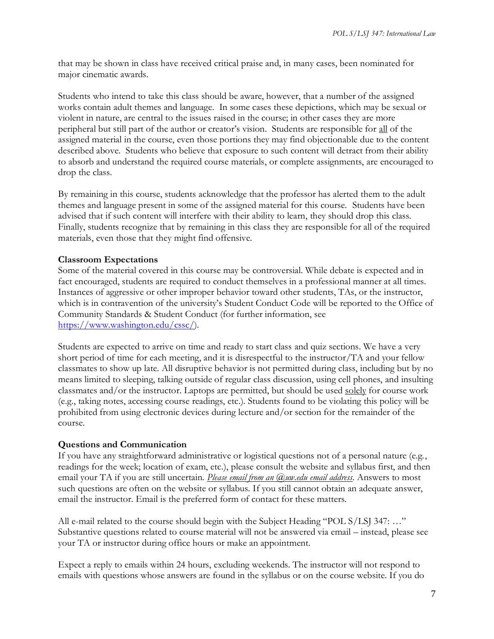that may be shown in class have received critical praise and, in many cases, been nominated for major cinematic awards.

Students who intend to take this class should be aware, however, that a number of the assigned works contain adult themes and language. In some cases these depictions, which may be sexual or violent in nature, are central to the issues raised in the course; in other cases they are more peripheral but still part of the author or creator's vision. Students are responsible for all of the assigned material in the course, even those portions they may find objectionable due to the content described above. Students who believe that exposure to such content will detract from their ability to absorb and understand the required course materials, or complete assignments, are encouraged to drop the class.

By remaining in this course, students acknowledge that the professor has alerted them to the adult themes and language present in some of the assigned material for this course. Students have been advised that if such content will interfere with their ability to learn, they should drop this class. Finally, students recognize that by remaining in this class they are responsible for all of the required materials, even those that they might find offensive.

#### **Classroom Expectations**

Some of the material covered in this course may be controversial. While debate is expected and in fact encouraged, students are required to conduct themselves in a professional manner at all times. Instances of aggressive or other improper behavior toward other students, TAs, or the instructor, which is in contravention of the university's Student Conduct Code will be reported to the Office of Community Standards & Student Conduct (for further information, see [https://www.washington.edu/cssc/\)](https://www.washington.edu/cssc/).

Students are expected to arrive on time and ready to start class and quiz sections. We have a very short period of time for each meeting, and it is disrespectful to the instructor/TA and your fellow classmates to show up late. All disruptive behavior is not permitted during class, including but by no means limited to sleeping, talking outside of regular class discussion, using cell phones, and insulting classmates and/or the instructor. Laptops are permitted, but should be used solely for course work (e.g., taking notes, accessing course readings, etc.). Students found to be violating this policy will be prohibited from using electronic devices during lecture and/or section for the remainder of the course.

#### **Questions and Communication**

If you have any straightforward administrative or logistical questions not of a personal nature (e.g., readings for the week; location of exam, etc.), please consult the website and syllabus first, and then email your TA if you are still uncertain. *Please email from an @uw.edu email address.* Answers to most such questions are often on the website or syllabus. If you still cannot obtain an adequate answer, email the instructor. Email is the preferred form of contact for these matters.

All e-mail related to the course should begin with the Subject Heading "POL S/LSJ 347: …" Substantive questions related to course material will not be answered via email – instead, please see your TA or instructor during office hours or make an appointment.

Expect a reply to emails within 24 hours, excluding weekends. The instructor will not respond to emails with questions whose answers are found in the syllabus or on the course website. If you do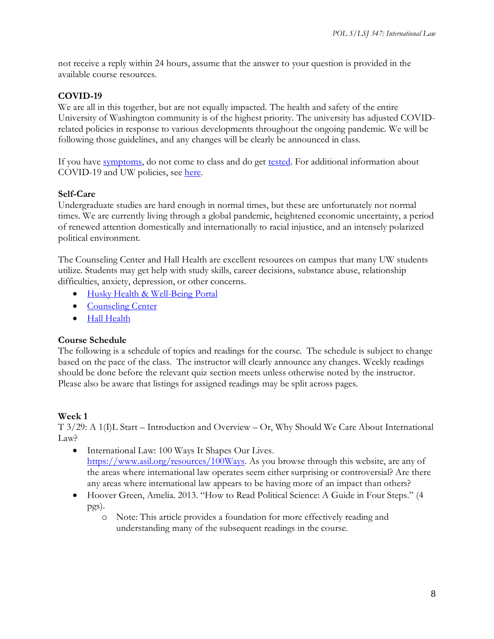not receive a reply within 24 hours, assume that the answer to your question is provided in the available course resources.

#### **COVID-19**

We are all in this together, but are not equally impacted. The health and safety of the entire University of Washington community is of the highest priority. The university has adjusted COVIDrelated policies in response to various developments throughout the ongoing pandemic. We will be following those guidelines, and any changes will be clearly be announced in class.

If you have [symptoms,](https://coronavirus.uwhealth.org/symptoms-and-care/) do not come to class and do get [tested.](https://www.washington.edu/coronavirus/testing/) For additional information about COVID-19 and UW policies, see [here.](https://www.washington.edu/coronavirus/)

#### **Self-Care**

Undergraduate studies are hard enough in normal times, but these are unfortunately not normal times. We are currently living through a global pandemic, heightened economic uncertainty, a period of renewed attention domestically and internationally to racial injustice, and an intensely polarized political environment.

The Counseling Center and Hall Health are excellent resources on campus that many UW students utilize. Students may get help with study skills, career decisions, substance abuse, relationship difficulties, anxiety, depression, or other concerns.

- [Husky Health & Well-Being Portal](https://wellbeing.uw.edu/)
- [Counseling Center](https://www.washington.edu/counseling/)
- [Hall Health](https://wellbeing.uw.edu/unit/hall-health/)

#### **Course Schedule**

The following is a schedule of topics and readings for the course. The schedule is subject to change based on the pace of the class. The instructor will clearly announce any changes. Weekly readings should be done before the relevant quiz section meets unless otherwise noted by the instructor. Please also be aware that listings for assigned readings may be split across pages.

#### **Week 1**

T 3/29: A 1(I)L Start – Introduction and Overview – Or, Why Should We Care About International Law?

- International Law: 100 Ways It Shapes Our Lives. https://www.asil.org/resources/100Ways. As you browse through this website, are any of the areas where international law operates seem either surprising or controversial? Are there any areas where international law appears to be having more of an impact than others?
- Hoover Green, Amelia. 2013. "How to Read Political Science: A Guide in Four Steps." (4 pgs).
	- o Note: This article provides a foundation for more effectively reading and understanding many of the subsequent readings in the course.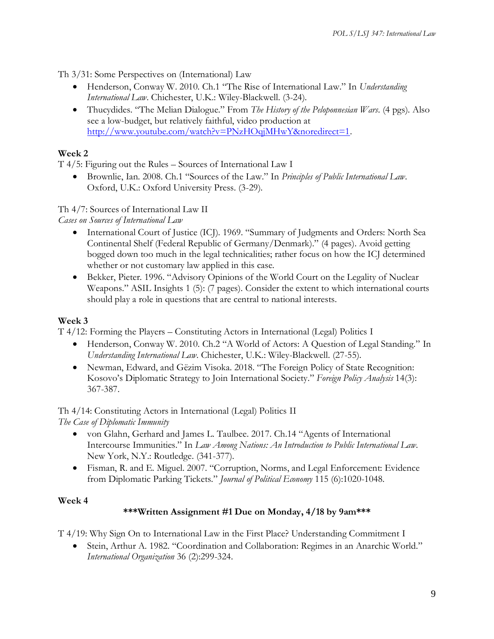Th 3/31: Some Perspectives on (International) Law

- Henderson, Conway W. 2010. Ch.1 "The Rise of International Law." In *Understanding International Law*. Chichester, U.K.: Wiley-Blackwell. (3-24).
- Thucydides. "The Melian Dialogue." From *The History of the Peloponnesian Wars*. (4 pgs). Also see a low-budget, but relatively faithful, video production at [http://www.youtube.com/watch?v=PNzHOqjMHwY&noredirect=1.](http://www.youtube.com/watch?v=PNzHOqjMHwY&noredirect=1)

### **Week 2**

T 4/5: Figuring out the Rules – Sources of International Law I

• Brownlie, Ian. 2008. Ch.1 "Sources of the Law." In *Principles of Public International Law*. Oxford, U.K.: Oxford University Press. (3-29).

#### Th 4/7: Sources of International Law II

*Cases on Sources of International Law*

- International Court of Justice (ICJ). 1969. "Summary of Judgments and Orders: North Sea Continental Shelf (Federal Republic of Germany/Denmark)." (4 pages). Avoid getting bogged down too much in the legal technicalities; rather focus on how the ICJ determined whether or not customary law applied in this case.
- Bekker, Pieter. 1996. "Advisory Opinions of the World Court on the Legality of Nuclear Weapons." ASIL Insights 1 (5): (7 pages). Consider the extent to which international courts should play a role in questions that are central to national interests.

#### **Week 3**

T 4/12: Forming the Players – Constituting Actors in International (Legal) Politics I

- Henderson, Conway W. 2010. Ch.2 "A World of Actors: A Question of Legal Standing." In *Understanding International Law*. Chichester, U.K.: Wiley-Blackwell. (27-55).
- Newman, Edward, and Gëzim Visoka. 2018. "The Foreign Policy of State Recognition: Kosovo's Diplomatic Strategy to Join International Society." *Foreign Policy Analysis* 14(3): 367-387.

Th 4/14: Constituting Actors in International (Legal) Politics II *The Case of Diplomatic Immunity*

- von Glahn, Gerhard and James L. Taulbee. 2017. Ch.14 "Agents of International Intercourse Immunities." In *Law Among Nations: An Introduction to Public International Law*. New York, N.Y.: Routledge. (341-377).
- Fisman, R. and E. Miguel. 2007. "Corruption, Norms, and Legal Enforcement: Evidence from Diplomatic Parking Tickets." *Journal of Political Economy* 115 (6):1020-1048.

### **Week 4**

### **\*\*\*Written Assignment #1 Due on Monday, 4/18 by 9am\*\*\***

T 4/19: Why Sign On to International Law in the First Place? Understanding Commitment I

• Stein, Arthur A. 1982. "Coordination and Collaboration: Regimes in an Anarchic World." *International Organization* 36 (2):299-324.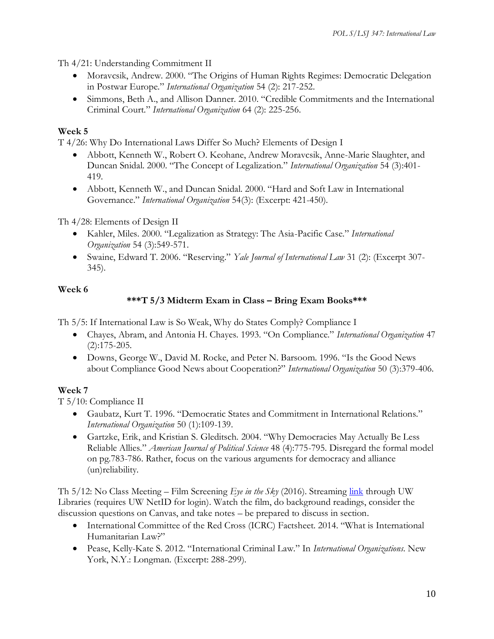Th 4/21: Understanding Commitment II

- Moravcsik, Andrew. 2000. "The Origins of Human Rights Regimes: Democratic Delegation in Postwar Europe." *International Organization* 54 (2): 217-252.
- Simmons, Beth A., and Allison Danner. 2010. "Credible Commitments and the International Criminal Court." *International Organization* 64 (2): 225-256.

## **Week 5**

T 4/26: Why Do International Laws Differ So Much? Elements of Design I

- Abbott, Kenneth W., Robert O. Keohane, Andrew Moravcsik, Anne-Marie Slaughter, and Duncan Snidal. 2000. "The Concept of Legalization." *International Organization* 54 (3):401- 419.
- Abbott, Kenneth W., and Duncan Snidal. 2000. "Hard and Soft Law in International Governance." *International Organization* 54(3): (Excerpt: 421-450).

Th 4/28: Elements of Design II

- Kahler, Miles. 2000. "Legalization as Strategy: The Asia-Pacific Case." *International Organization* 54 (3):549-571.
- Swaine, Edward T. 2006. "Reserving." *Yale Journal of International Law* 31 (2): (Excerpt 307- 345).

### **Week 6**

# **\*\*\*T 5/3 Midterm Exam in Class – Bring Exam Books\*\*\***

Th 5/5: If International Law is So Weak, Why do States Comply? Compliance I

- Chayes, Abram, and Antonia H. Chayes. 1993. "On Compliance." *International Organization* 47 (2):175-205.
- Downs, George W., David M. Rocke, and Peter N. Barsoom. 1996. "Is the Good News about Compliance Good News about Cooperation?" *International Organization* 50 (3):379-406.

# **Week 7**

T 5/10: Compliance II

- Gaubatz, Kurt T. 1996. "Democratic States and Commitment in International Relations." *International Organization* 50 (1):109-139.
- Gartzke, Erik, and Kristian S. Gleditsch. 2004. "Why Democracies May Actually Be Less Reliable Allies." *American Journal of Political Science* 48 (4):775-795. Disregard the formal model on pg.783-786. Rather, focus on the various arguments for democracy and alliance (un)reliability.

Th 5/12: No Class Meeting – Film Screening *Eye in the Sky* (2016). Streaming [link](%09https:/alliance-primo.hosted.exlibrisgroup.com/permalink/f/kjtuig/CP71374993340001451) through UW Libraries (requires UW NetID for login). Watch the film, do background readings, consider the discussion questions on Canvas, and take notes – be prepared to discuss in section.

- International Committee of the Red Cross (ICRC) Factsheet. 2014. "What is International Humanitarian Law?"
- Pease, Kelly-Kate S. 2012. "International Criminal Law." In *International Organizations*. New York, N.Y.: Longman. (Excerpt: 288-299).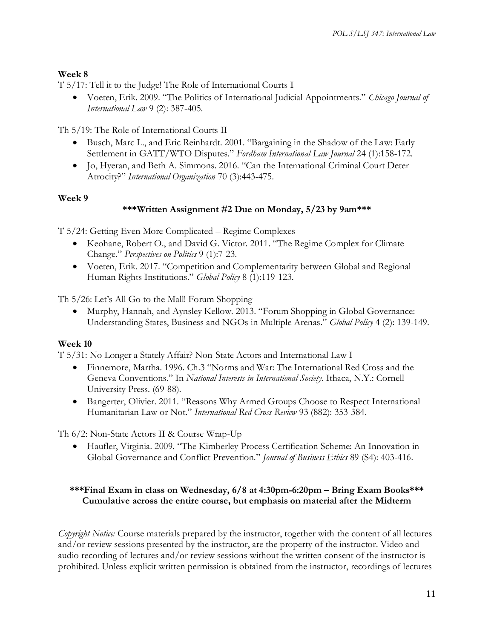# **Week 8**

T 5/17: Tell it to the Judge! The Role of International Courts I

• Voeten, Erik. 2009. "The Politics of International Judicial Appointments." *Chicago Journal of International Law* 9 (2): 387-405.

Th 5/19: The Role of International Courts II

- Busch, Marc L., and Eric Reinhardt. 2001. "Bargaining in the Shadow of the Law: Early Settlement in GATT/WTO Disputes." *Fordham International Law Journal* 24 (1):158-172.
- Jo, Hyeran, and Beth A. Simmons. 2016. "Can the International Criminal Court Deter Atrocity?" *International Organization* 70 (3):443-475.

### **Week 9**

# **\*\*\*Written Assignment #2 Due on Monday, 5/23 by 9am\*\*\***

T 5/24: Getting Even More Complicated – Regime Complexes

- Keohane, Robert O., and David G. Victor. 2011. "The Regime Complex for Climate Change." *Perspectives on Politics* 9 (1):7-23.
- Voeten, Erik. 2017. "Competition and Complementarity between Global and Regional Human Rights Institutions." *Global Policy* 8 (1):119-123.

Th 5/26: Let's All Go to the Mall! Forum Shopping

• Murphy, Hannah, and Aynsley Kellow. 2013. "Forum Shopping in Global Governance: Understanding States, Business and NGOs in Multiple Arenas." *Global Policy* 4 (2): 139-149.

# **Week 10**

T 5/31: No Longer a Stately Affair? Non-State Actors and International Law I

- Finnemore, Martha. 1996. Ch.3 "Norms and War: The International Red Cross and the Geneva Conventions." In *National Interests in International Society*. Ithaca, N.Y.: Cornell University Press. (69-88).
- Bangerter, Olivier. 2011. "Reasons Why Armed Groups Choose to Respect International Humanitarian Law or Not." *International Red Cross Review* 93 (882): 353-384.

Th 6/2: Non-State Actors II & Course Wrap-Up

• Haufler, Virginia. 2009. "The Kimberley Process Certification Scheme: An Innovation in Global Governance and Conflict Prevention." *Journal of Business Ethics* 89 (S4): 403-416.

### **\*\*\*Final Exam in class on Wednesday, 6/8 at 4:30pm-6:20pm – Bring Exam Books\*\*\* Cumulative across the entire course, but emphasis on material after the Midterm**

*Copyright Notice:* Course materials prepared by the instructor, together with the content of all lectures and/or review sessions presented by the instructor, are the property of the instructor. Video and audio recording of lectures and/or review sessions without the written consent of the instructor is prohibited. Unless explicit written permission is obtained from the instructor, recordings of lectures